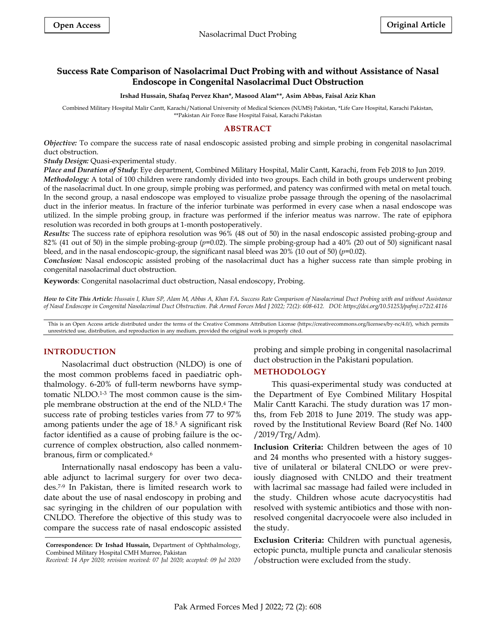# **Success Rate Comparison of Nasolacrimal Duct Probing with and without Assistance of Nasal Endoscope in Congenital Nasolacrimal Duct Obstruction**

#### **Irshad Hussain, Shafaq Pervez Khan\*, Masood Alam\*\*, Asim Abbas, Faisal Aziz Khan**

Combined Military Hospital Malir Cantt, Karachi/National University of Medical Sciences (NUMS) Pakistan, \*Life Care Hospital, Karachi Pakistan, \*\*Pakistan Air Force Base Hospital Faisal, Karachi Pakistan

#### **ABSTRACT**

*Objective:* To compare the success rate of nasal endoscopic assisted probing and simple probing in congenital nasolacrimal duct obstruction.

*Study Design:* Quasi-experimental study.

*Place and Duration of Study*: Eye department, Combined Military Hospital, Malir Cantt, Karachi, from Feb 2018 to Jun 2019.

*Methodology:* A total of 100 children were randomly divided into two groups. Each child in both groups underwent probing of the nasolacrimal duct. In one group, simple probing was performed, and patency was confirmed with metal on metal touch. In the second group, a nasal endoscope was employed to visualize probe passage through the opening of the nasolacrimal duct in the inferior meatus. In fracture of the inferior turbinate was performed in every case when a nasal endoscope was utilized. In the simple probing group, in fracture was performed if the inferior meatus was narrow. The rate of epiphora resolution was recorded in both groups at 1-month postoperatively.

*Results:* The success rate of epiphora resolution was 96% (48 out of 50) in the nasal endoscopic assisted probing-group and 82% (41 out of 50) in the simple probing-group (*p*=0.02). The simple probing-group had a 40% (20 out of 50) significant nasal bleed, and in the nasal endoscopic-group, the significant nasal bleed was 20% (10 out of 50) (*p*=0.02).

*Conclusion:* Nasal endoscopic assisted probing of the nasolacrimal duct has a higher success rate than simple probing in congenital nasolacrimal duct obstruction.

**Keywords**: Congenital nasolacrimal duct obstruction, Nasal endoscopy, Probing.

*How to Cite This Article: Hussain I, Khan SP, Alam M, Abbas A, Khan FA. Success Rate Comparison of Nasolacrimal Duct Probing with and without Assistance of Nasal Endoscope in Congenital Nasolacrimal Duct Obstruction. Pak Armed Forces Med J 2022; 72(2): 608-612. DOI: https://doi.org/10.51253/pafmj.v72i2.4116*

This is an Open Access article distributed under the terms of the Creative Commons Attribution License (https://creativecommons.org/licenses/by-nc/4.0/), which permits unrestricted use, distribution, and reproduction in any medium, provided the original work is properly cited.

#### **INTRODUCTION**

Nasolacrimal duct obstruction (NLDO) is one of the most common problems faced in paediatric ophthalmology. 6-20% of full-term newborns have symptomatic NLDO.1-3 The most common cause is the simple membrane obstruction at the end of the NLD.<sup>4</sup> The success rate of probing testicles varies from 77 to 97% among patients under the age of 18. <sup>5</sup> A significant risk factor identified as a cause of probing failure is the occurrence of complex obstruction, also called nonmembranous, firm or complicated.<sup>6</sup>

Internationally nasal endoscopy has been a valuable adjunct to lacrimal surgery for over two decades.7-9 In Pakistan, there is limited research work to date about the use of nasal endoscopy in probing and sac syringing in the children of our population with CNLDO. Therefore the objective of this study was to compare the success rate of nasal endoscopic assisted

probing and simple probing in congenital nasolacrimal duct obstruction in the Pakistani population.

# **METHODOLOGY**

This quasi-experimental study was conducted at the Department of Eye Combined Military Hospital Malir Cantt Karachi. The study duration was 17 months, from Feb 2018 to June 2019. The study was approved by the Institutional Review Board (Ref No. 1400 /2019/Trg/Adm).

**Inclusion Criteria:** Children between the ages of 10 and 24 months who presented with a history suggestive of unilateral or bilateral CNLDO or were previously diagnosed with CNLDO and their treatment with lacrimal sac massage had failed were included in the study. Children whose acute dacryocystitis had resolved with systemic antibiotics and those with nonresolved congenital dacryocoele were also included in the study.

**Exclusion Criteria:** Children with punctual agenesis, ectopic puncta, multiple puncta and canalicular stenosis /obstruction were excluded from the study.

**Correspondence: Dr Irshad Hussain,** Department of Ophthalmology, Combined Military Hospital CMH Murree, Pakistan

*Received: 14 Apr 2020; revision received: 07 Jul 2020; accepted: 09 Jul 2020*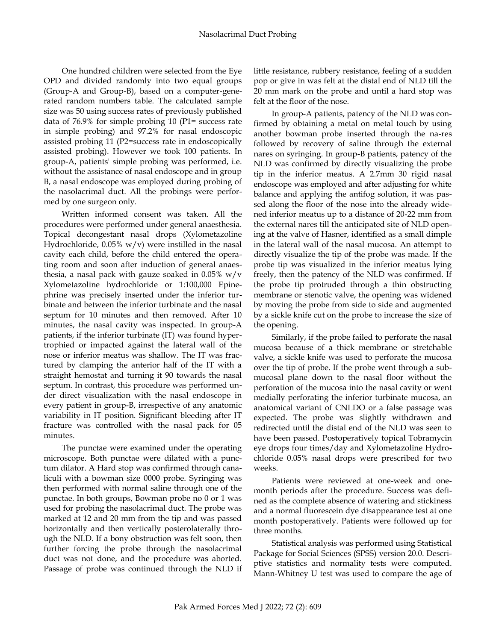One hundred children were selected from the Eye OPD and divided randomly into two equal groups (Group-A and Group-B), based on a computer-generated random numbers table. The calculated sample size was 50 using success rates of previously published data of 76.9% for simple probing 10 (P1= success rate in simple probing) and 97.2% for nasal endoscopic assisted probing 11 (P2=success rate in endoscopically assisted probing). However we took 100 patients. In group-A, patients' simple probing was performed, i.e. without the assistance of nasal endoscope and in group B, a nasal endoscope was employed during probing of the nasolacrimal duct. All the probings were performed by one surgeon only.

Written informed consent was taken. All the procedures were performed under general anaesthesia. Topical decongestant nasal drops (Xylometazoline Hydrochloride,  $0.05\%$  w/v) were instilled in the nasal cavity each child, before the child entered the operating room and soon after induction of general anaesthesia, a nasal pack with gauze soaked in  $0.05\%$  w/v Xylometazoline hydrochloride or 1:100,000 Epinephrine was precisely inserted under the inferior turbinate and between the inferior turbinate and the nasal septum for 10 minutes and then removed. After 10 minutes, the nasal cavity was inspected. In group-A patients, if the inferior turbinate (IT) was found hypertrophied or impacted against the lateral wall of the nose or inferior meatus was shallow. The IT was fractured by clamping the anterior half of the IT with a straight hemostat and turning it 90 towards the nasal septum. In contrast, this procedure was performed under direct visualization with the nasal endoscope in every patient in group-B, irrespective of any anatomic variability in IT position. Significant bleeding after IT fracture was controlled with the nasal pack for 05 minutes.

The punctae were examined under the operating microscope. Both punctae were dilated with a punctum dilator. A Hard stop was confirmed through canaliculi with a bowman size 0000 probe. Syringing was then performed with normal saline through one of the punctae. In both groups, Bowman probe no 0 or 1 was used for probing the nasolacrimal duct. The probe was marked at 12 and 20 mm from the tip and was passed horizontally and then vertically posterolaterally through the NLD. If a bony obstruction was felt soon, then further forcing the probe through the nasolacrimal duct was not done, and the procedure was aborted. Passage of probe was continued through the NLD if little resistance, rubbery resistance, feeling of a sudden pop or give in was felt at the distal end of NLD till the 20 mm mark on the probe and until a hard stop was felt at the floor of the nose.

In group-A patients, patency of the NLD was confirmed by obtaining a metal on metal touch by using another bowman probe inserted through the na-res followed by recovery of saline through the external nares on syringing. In group-B patients, patency of the NLD was confirmed by directly visualizing the probe tip in the inferior meatus. A 2.7mm 30 rigid nasal endoscope was employed and after adjusting for white balance and applying the antifog solution, it was passed along the floor of the nose into the already widened inferior meatus up to a distance of 20-22 mm from the external nares till the anticipated site of NLD opening at the valve of Hasner, identified as a small dimple in the lateral wall of the nasal mucosa. An attempt to directly visualize the tip of the probe was made. If the probe tip was visualized in the inferior meatus lying freely, then the patency of the NLD was confirmed. If the probe tip protruded through a thin obstructing membrane or stenotic valve, the opening was widened by moving the probe from side to side and augmented by a sickle knife cut on the probe to increase the size of the opening.

Similarly, if the probe failed to perforate the nasal mucosa because of a thick membrane or stretchable valve, a sickle knife was used to perforate the mucosa over the tip of probe. If the probe went through a submucosal plane down to the nasal floor without the perforation of the mucosa into the nasal cavity or went medially perforating the inferior turbinate mucosa, an anatomical variant of CNLDO or a false passage was expected. The probe was slightly withdrawn and redirected until the distal end of the NLD was seen to have been passed. Postoperatively topical Tobramycin eye drops four times/day and Xylometazoline Hydrochloride 0.05% nasal drops were prescribed for two weeks.

Patients were reviewed at one-week and onemonth periods after the procedure. Success was defined as the complete absence of watering and stickiness and a normal fluorescein dye disappearance test at one month postoperatively. Patients were followed up for three months.

Statistical analysis was performed using Statistical Package for Social Sciences (SPSS) version 20.0. Descriptive statistics and normality tests were computed. Mann-Whitney U test was used to compare the age of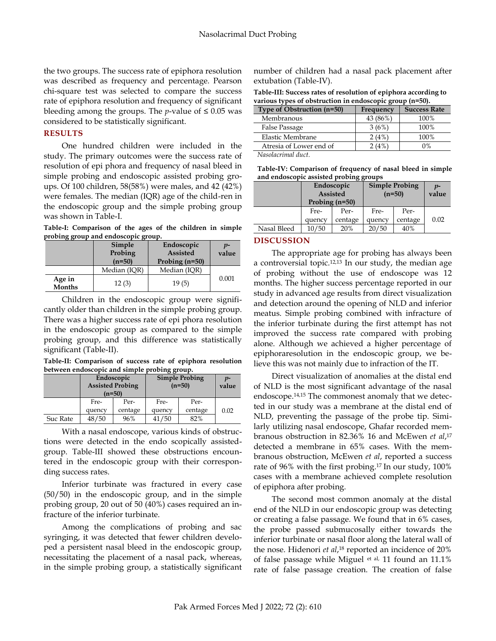the two groups. The success rate of epiphora resolution was described as frequency and percentage. Pearson chi-square test was selected to compare the success rate of epiphora resolution and frequency of significant bleeding among the groups. The *p*-value of  $\leq 0.05$  was considered to be statistically significant.

# **RESULTS**

One hundred children were included in the study. The primary outcomes were the success rate of resolution of epi phora and frequency of nasal bleed in simple probing and endoscopic assisted probing groups. Of 100 children, 58(58%) were males, and 42 (42%) were females. The median (IQR) age of the child-ren in the endoscopic group and the simple probing group was shown in Table-I.

**Table-I: Comparison of the ages of the children in simple probing group and endoscopic group.**

|                         | Simple<br>Probing<br>$(n=50)$ | Endoscopic<br><b>Assisted</b><br>Probing $(n=50)$ |       |  |
|-------------------------|-------------------------------|---------------------------------------------------|-------|--|
|                         | Median (IOR)                  | Median (IQR)                                      |       |  |
| Age in<br><b>Months</b> | 12(3)                         | 19(5)                                             | 0.001 |  |

Children in the endoscopic group were significantly older than children in the simple probing group. There was a higher success rate of epi phora resolution in the endoscopic group as compared to the simple probing group, and this difference was statistically significant (Table-II).

**Table-II: Comparison of success rate of epiphora resolution between endoscopic and simple probing group.**

|          | Endoscopic<br><b>Assisted Probing</b><br>$(n=50)$ |         | <b>Simple Probing</b><br>$(n=50)$ |         | $v$ -<br>value |
|----------|---------------------------------------------------|---------|-----------------------------------|---------|----------------|
|          | Fre-                                              | Per-    | Fre-                              | Per-    |                |
|          | quency                                            | centage | quency                            | centage | 0.02           |
| Suc Rate | 48/50                                             | 96%     | 41/50                             | 82%     |                |

With a nasal endoscope, various kinds of obstructions were detected in the endo scopically assistedgroup. Table-III showed these obstructions encountered in the endoscopic group with their corresponding success rates.

Inferior turbinate was fractured in every case (50/50) in the endoscopic group, and in the simple probing group, 20 out of 50 (40%) cases required an infracture of the inferior turbinate.

Among the complications of probing and sac syringing, it was detected that fewer children developed a persistent nasal bleed in the endoscopic group, necessitating the placement of a nasal pack, whereas, in the simple probing group, a statistically significant number of children had a nasal pack placement after extubation (Table-IV).

**Table-III: Success rates of resolution of epiphora according to various types of obstruction in endoscopic group (n=50).**

| Type of Obstruction (n=50) | Frequency | <b>Success Rate</b> |
|----------------------------|-----------|---------------------|
| Membranous                 | 43 (86%)  | 100%                |
| False Passage              | 3(6%)     | 100%                |
| Elastic Membrane           | 2(4%)     | 100%                |
| Atresia of Lower end of    | (4%       | 0%                  |
|                            |           |                     |

*Nasolacrimal duct.*

**Table-IV: Comparison of frequency of nasal bleed in simple and endoscopic assisted probing groups**

|             | Endoscopic<br><b>Assisted</b><br>Probing $(n=50)$ |         | <b>Simple Probing</b><br>$(n=50)$ |         | $p-$<br>value |
|-------------|---------------------------------------------------|---------|-----------------------------------|---------|---------------|
|             | Fre-                                              | Per-    | Fre-                              | Per-    |               |
|             | quency                                            | centage | quency                            | centage | 0.02          |
| Nasal Bleed | 10/50                                             | 20%     | 20/50                             | 40%     |               |

## **DISCUSSION**

The appropriate age for probing has always been a controversial topic.12,13 In our study, the median age of probing without the use of endoscope was 12 months. The higher success percentage reported in our study in advanced age results from direct visualization and detection around the opening of NLD and inferior meatus. Simple probing combined with infracture of the inferior turbinate during the first attempt has not improved the success rate compared with probing alone. Although we achieved a higher percentage of epiphoraresolution in the endoscopic group, we believe this was not mainly due to infraction of the IT.

Direct visualization of anomalies at the distal end of NLD is the most significant advantage of the nasal endoscope.14,15 The commonest anomaly that we detected in our study was a membrane at the distal end of NLD, preventing the passage of the probe tip. Similarly utilizing nasal endoscope, Ghafar recorded membranous obstruction in 82.36% 16 and McEwen *et al*, 17 detected a membrane in 65% cases. With the membranous obstruction, McEwen *et al*, reported a success rate of 96% with the first probing. <sup>17</sup> In our study, 100% cases with a membrane achieved complete resolution of epiphora after probing.

The second most common anomaly at the distal end of the NLD in our endoscopic group was detecting or creating a false passage. We found that in 6% cases, the probe passed submucosally either towards the inferior turbinate or nasal floor along the lateral wall of the nose. Hidenori *et al*, <sup>18</sup> reported an incidence of 20% of false passage while Miguel et al, 11 found an 11.1% rate of false passage creation. The creation of false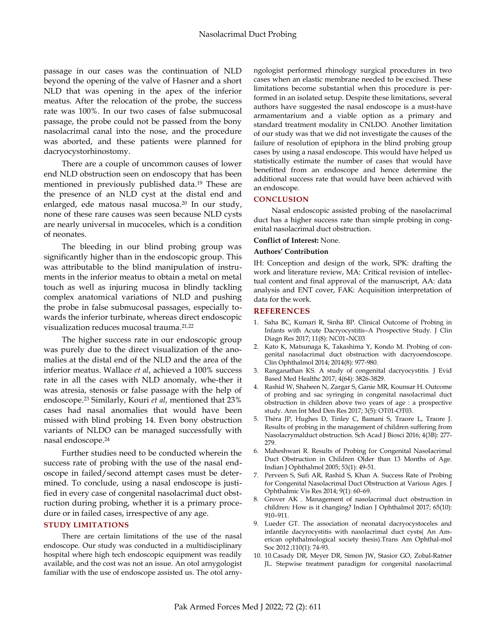passage in our cases was the continuation of NLD beyond the opening of the valve of Hasner and a short NLD that was opening in the apex of the inferior meatus. After the relocation of the probe, the success rate was 100%. In our two cases of false submucosal passage, the probe could not be passed from the bony nasolacrimal canal into the nose, and the procedure was aborted, and these patients were planned for dacryocystorhinostomy.

There are a couple of uncommon causes of lower end NLD obstruction seen on endoscopy that has been mentioned in previously published data.<sup>19</sup> These are the presence of an NLD cyst at the distal end and enlarged, ede matous nasal mucosa. <sup>20</sup> In our study, none of these rare causes was seen because NLD cysts are nearly universal in mucoceles, which is a condition of neonates.

The bleeding in our blind probing group was significantly higher than in the endoscopic group. This was attributable to the blind manipulation of instruments in the inferior meatus to obtain a metal on metal touch as well as injuring mucosa in blindly tackling complex anatomical variations of NLD and pushing the probe in false submucosal passages, especially towards the inferior turbinate, whereas direct endoscopic visualization reduces mucosal trauma. 21,22

The higher success rate in our endoscopic group was purely due to the direct visualization of the anomalies at the distal end of the NLD and the area of the inferior meatus. Wallace *et al*, achieved a 100% success rate in all the cases with NLD anomaly, whe-ther it was atresia, stenosis or false passage with the help of endoscope. <sup>23</sup> Similarly, Kouri *et al*, mentioned that 23% cases had nasal anomalies that would have been missed with blind probing 14. Even bony obstruction variants of NLDO can be managed successfully with nasal endoscope. 24

Further studies need to be conducted wherein the success rate of probing with the use of the nasal endoscope in failed/second attempt cases must be determined. To conclude, using a nasal endoscope is justified in every case of congenital nasolacrimal duct obstruction during probing, whether it is a primary procedure or in failed cases, irrespective of any age.

# **STUDY LIMITATIONS**

There are certain limitations of the use of the nasal endoscope. Our study was conducted in a multidisciplinary hospital where high tech endoscopic equipment was readily available, and the cost was not an issue. An otol arnygologist familiar with the use of endoscope assisted us. The otol arnyngologist performed rhinology surgical procedures in two cases when an elastic membrane needed to be excised. These limitations become substantial when this procedure is performed in an isolated setup. Despite these limitations, several authors have suggested the nasal endoscope is a must-have armamentarium and a viable option as a primary and standard treatment modality in CNLDO. Another limitation of our study was that we did not investigate the causes of the failure of resolution of epiphora in the blind probing group cases by using a nasal endoscope. This would have helped us statistically estimate the number of cases that would have benefitted from an endoscope and hence determine the additional success rate that would have been achieved with an endoscope.

## **CONCLUSION**

Nasal endoscopic assisted probing of the nasolacrimal duct has a higher success rate than simple probing in congenital nasolacrimal duct obstruction.

## **Conflict of Interest:** None.

#### **Authors' Contribution**

IH: Conception and design of the work, SPK: drafting the work and literature review, MA: Critical revision of intellectual content and final approval of the manuscript, AA: data analysis and ENT cover, FAK: Acquisition interpretation of data for the work.

#### **REFERENCES**

- 1. Saha BC, Kumari R, Sinha BP. Clinical Outcome of Probing in Infants with Acute Dacryocystitis–A Prospective Study. J Clin Diagn Res 2017; 11(8): NC01–NC03
- 2. Kato K, Matsunaga K, Takashima Y, Kondo M. Probing of congenital nasolacrimal duct obstruction with dacryoendoscope. Clin Ophthalmol 2014; 2014(8): 977-980.
- 3. Ranganathan KS. A study of congenital dacryocystitis. J Evid Based Med Healthc 2017; 4(64): 3826-3829.
- 4. Rashid W, Shaheen N, Zargar S, Ganie MR, Kounsar H. Outcome of probing and sac syringing in congenital nasolacrimal duct obstruction in children above two years of age : a prospective study. Ann Int Med Den Res 2017; 3(5): OT01-OT03.
- 5. Théra JP, Hughes D, Tinley C, Bamani S, Traore L, Traore J. Results of probing in the management of children suffering from Nasolacrymalduct obstruction. Sch Acad J Biosci 2016; 4(3B): 277- 279.
- 6. Maheshwari R. Results of Probing for Congenital Nasolacrimal Duct Obstruction in Children Older than 13 Months of Age. Indian J Ophthalmol 2005; 53(1): 49-51.
- 7. Perveen S, Sufi AR, Rashid S, Khan A. Success Rate of Probing for Congenital Nasolacrimal Duct Obstruction at Various Ages. J Ophthalmic Vis Res 2014; 9(1): 60–69.
- 8. Grover AK . Management of nasolacrimal duct obstruction in children: How is it changing? Indian J Ophthalmol 2017; 65(10): 910–911.
- 9. Lueder GT. The association of neonatal dacryocystoceles and infantile dacyrocystitis with nasolacrimal duct cysts( An American ophthalmological society thesis).Trans Am Ophthal-mol Soc 2012 ;110(1): 74-93.
- 10. 1[0.Casady DR,](file:///E:/pubmed/) [Meyer DR,](file:///E:/pubmed/) [Simon JW,](file:///E:/pubmed/) [Stasior GO,](file:///E:/pubmed/) [Zobal-Ratner](file:///E:/pubmed/)  [JL.](file:///E:/pubmed/) Stepwise treatment paradigm for congenital nasolacrimal